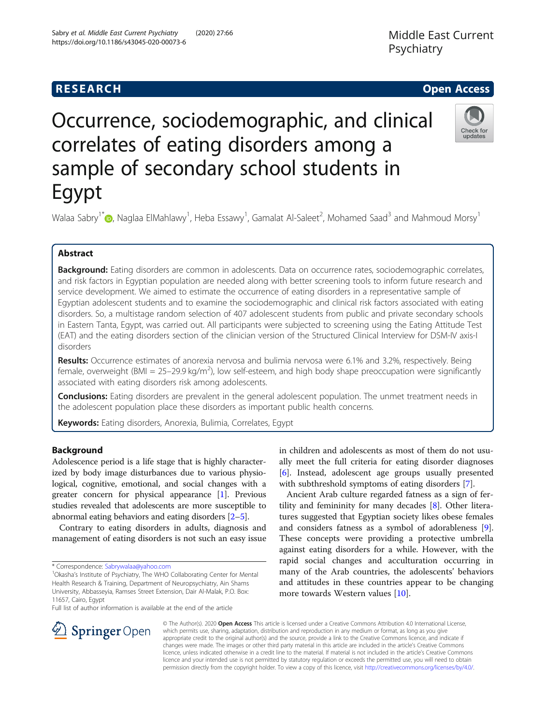# **RESEARCH CHE Open Access**

# Occurrence, sociodemographic, and clinical correlates of eating disorders among a sample of secondary school students in Egypt

Walaa Sabry<sup>1\*</sup>�[,](http://orcid.org/0000-0002-7361-5941) Naglaa ElMahlawy<sup>1</sup>, Heba Essawy<sup>1</sup>, Gamalat Al-Saleet<sup>2</sup>, Mohamed Saad<sup>3</sup> and Mahmoud Morsy<sup>1</sup>

# Abstract

Background: Eating disorders are common in adolescents. Data on occurrence rates, sociodemographic correlates, and risk factors in Egyptian population are needed along with better screening tools to inform future research and service development. We aimed to estimate the occurrence of eating disorders in a representative sample of Egyptian adolescent students and to examine the sociodemographic and clinical risk factors associated with eating disorders. So, a multistage random selection of 407 adolescent students from public and private secondary schools in Eastern Tanta, Egypt, was carried out. All participants were subjected to screening using the Eating Attitude Test (EAT) and the eating disorders section of the clinician version of the Structured Clinical Interview for DSM-IV axis-I disorders

Results: Occurrence estimates of anorexia nervosa and bulimia nervosa were 6.1% and 3.2%, respectively. Being female, overweight (BMI = 25-29.9 kg/m<sup>2</sup>), low self-esteem, and high body shape preoccupation were significantly associated with eating disorders risk among adolescents.

**Conclusions:** Eating disorders are prevalent in the general adolescent population. The unmet treatment needs in the adolescent population place these disorders as important public health concerns.

Keywords: Eating disorders, Anorexia, Bulimia, Correlates, Egypt

### Background

Adolescence period is a life stage that is highly characterized by body image disturbances due to various physiological, cognitive, emotional, and social changes with a greater concern for physical appearance [\[1\]](#page-7-0). Previous studies revealed that adolescents are more susceptible to abnormal eating behaviors and eating disorders [\[2](#page-7-0)–[5\]](#page-7-0).

Contrary to eating disorders in adults, diagnosis and management of eating disorders is not such an easy issue

\* Correspondence: [Sabrywalaa@yahoo.com](mailto:Sabrywalaa@yahoo.com) <sup>1</sup>

SpringerOpen

<sup>1</sup>Okasha's Institute of Psychiatry, The WHO Collaborating Center for Mental Health Research & Training, Department of Neuropsychiatry, Ain Shams University, Abbasseyia, Ramses Street Extension, Dair Al-Malak, P.O. Box: 11657, Cairo, Egypt

Full list of author information is available at the end of the article

in children and adolescents as most of them do not usually meet the full criteria for eating disorder diagnoses [[6\]](#page-7-0). Instead, adolescent age groups usually presented with subthreshold symptoms of eating disorders [\[7\]](#page-7-0).

Ancient Arab culture regarded fatness as a sign of fertility and femininity for many decades [\[8\]](#page-7-0). Other literatures suggested that Egyptian society likes obese females and considers fatness as a symbol of adorableness [\[9](#page-7-0)]. These concepts were providing a protective umbrella against eating disorders for a while. However, with the rapid social changes and acculturation occurring in many of the Arab countries, the adolescents' behaviors and attitudes in these countries appear to be changing more towards Western values [[10\]](#page-7-0).



© The Author(s). 2020 Open Access This article is licensed under a Creative Commons Attribution 4.0 International License, which permits use, sharing, adaptation, distribution and reproduction in any medium or format, as long as you give appropriate credit to the original author(s) and the source, provide a link to the Creative Commons licence, and indicate if changes were made. The images or other third party material in this article are included in the article's Creative Commons licence, unless indicated otherwise in a credit line to the material. If material is not included in the article's Creative Commons licence and your intended use is not permitted by statutory regulation or exceeds the permitted use, you will need to obtain permission directly from the copyright holder. To view a copy of this licence, visit <http://creativecommons.org/licenses/by/4.0/>.



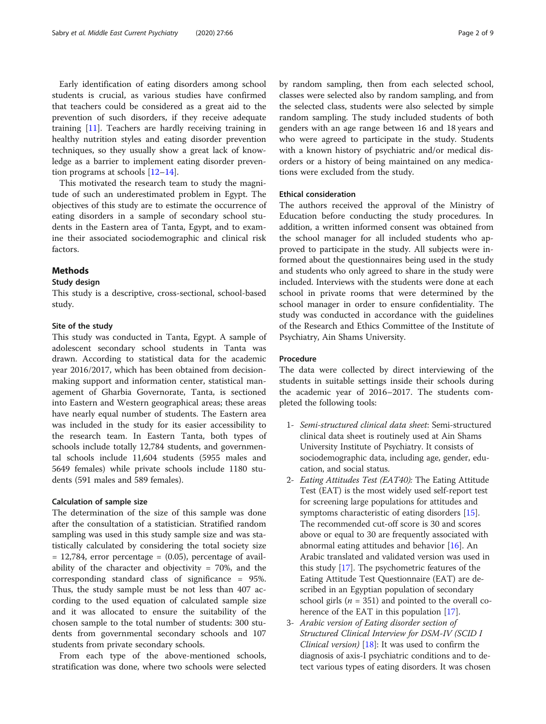Early identification of eating disorders among school students is crucial, as various studies have confirmed that teachers could be considered as a great aid to the prevention of such disorders, if they receive adequate training [\[11](#page-7-0)]. Teachers are hardly receiving training in healthy nutrition styles and eating disorder prevention techniques, so they usually show a great lack of knowledge as a barrier to implement eating disorder prevention programs at schools [\[12](#page-7-0)–[14\]](#page-7-0).

This motivated the research team to study the magnitude of such an underestimated problem in Egypt. The objectives of this study are to estimate the occurrence of eating disorders in a sample of secondary school students in the Eastern area of Tanta, Egypt, and to examine their associated sociodemographic and clinical risk factors.

# **Methods**

#### Study design

This study is a descriptive, cross-sectional, school-based study.

#### Site of the study

This study was conducted in Tanta, Egypt. A sample of adolescent secondary school students in Tanta was drawn. According to statistical data for the academic year 2016/2017, which has been obtained from decisionmaking support and information center, statistical management of Gharbia Governorate, Tanta, is sectioned into Eastern and Western geographical areas; these areas have nearly equal number of students. The Eastern area was included in the study for its easier accessibility to the research team. In Eastern Tanta, both types of schools include totally 12,784 students, and governmental schools include 11,604 students (5955 males and 5649 females) while private schools include 1180 students (591 males and 589 females).

#### Calculation of sample size

The determination of the size of this sample was done after the consultation of a statistician. Stratified random sampling was used in this study sample size and was statistically calculated by considering the total society size  $= 12,784$ , error percentage  $= (0.05)$ , percentage of availability of the character and objectivity = 70%, and the corresponding standard class of significance = 95%. Thus, the study sample must be not less than 407 according to the used equation of calculated sample size and it was allocated to ensure the suitability of the chosen sample to the total number of students: 300 students from governmental secondary schools and 107 students from private secondary schools.

From each type of the above-mentioned schools, stratification was done, where two schools were selected by random sampling, then from each selected school, classes were selected also by random sampling, and from the selected class, students were also selected by simple random sampling. The study included students of both genders with an age range between 16 and 18 years and who were agreed to participate in the study. Students with a known history of psychiatric and/or medical disorders or a history of being maintained on any medications were excluded from the study.

### Ethical consideration

The authors received the approval of the Ministry of Education before conducting the study procedures. In addition, a written informed consent was obtained from the school manager for all included students who approved to participate in the study. All subjects were informed about the questionnaires being used in the study and students who only agreed to share in the study were included. Interviews with the students were done at each school in private rooms that were determined by the school manager in order to ensure confidentiality. The study was conducted in accordance with the guidelines of the Research and Ethics Committee of the Institute of Psychiatry, Ain Shams University.

#### Procedure

The data were collected by direct interviewing of the students in suitable settings inside their schools during the academic year of 2016–2017. The students completed the following tools:

- 1- Semi-structured clinical data sheet: Semi-structured clinical data sheet is routinely used at Ain Shams University Institute of Psychiatry. It consists of sociodemographic data, including age, gender, education, and social status.
- 2- Eating Attitudes Test (EAT40): The Eating Attitude Test (EAT) is the most widely used self-report test for screening large populations for attitudes and symptoms characteristic of eating disorders [[15](#page-7-0)]. The recommended cut-off score is 30 and scores above or equal to 30 are frequently associated with abnormal eating attitudes and behavior  $[16]$ . An Arabic translated and validated version was used in this study [[17](#page-7-0)]. The psychometric features of the Eating Attitude Test Questionnaire (EAT) are described in an Egyptian population of secondary school girls ( $n = 351$ ) and pointed to the overall coherence of the EAT in this population [[17](#page-7-0)].
- 3- Arabic version of Eating disorder section of Structured Clinical Interview for DSM-IV (SCID I Clinical version)  $[18]$ : It was used to confirm the diagnosis of axis-I psychiatric conditions and to detect various types of eating disorders. It was chosen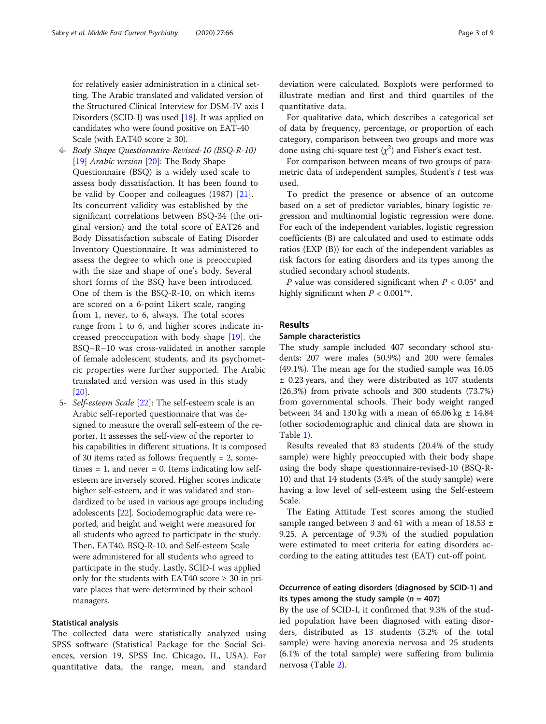for relatively easier administration in a clinical setting. The Arabic translated and validated version of the Structured Clinical Interview for DSM-IV axis I Disorders (SCID-I) was used [[18\]](#page-7-0). It was applied on candidates who were found positive on EAT-40 Scale (with EAT40 score  $\geq$  30).

- 4- Body Shape Questionnaire-Revised-10 (BSQ-R-10) [\[19](#page-7-0)] *Arabic version* [[20](#page-7-0)]: The Body Shape Questionnaire (BSQ) is a widely used scale to assess body dissatisfaction. It has been found to be valid by Cooper and colleagues (1987) [\[21](#page-7-0)]. Its concurrent validity was established by the significant correlations between BSQ-34 (the original version) and the total score of EAT26 and Body Dissatisfaction subscale of Eating Disorder Inventory Questionnaire. It was administered to assess the degree to which one is preoccupied with the size and shape of one's body. Several short forms of the BSQ have been introduced. One of them is the BSQ-R-10, on which items are scored on a 6-point Likert scale, ranging from 1, never, to 6, always. The total scores range from 1 to 6, and higher scores indicate increased preoccupation with body shape [\[19](#page-7-0)]. the BSQ–R–10 was cross-validated in another sample of female adolescent students, and its psychometric properties were further supported. The Arabic translated and version was used in this study [[20](#page-7-0)].
- 5- Self-esteem Scale [\[22](#page-7-0)]: The self-esteem scale is an Arabic self-reported questionnaire that was designed to measure the overall self-esteem of the reporter. It assesses the self-view of the reporter to his capabilities in different situations. It is composed of 30 items rated as follows: frequently  $= 2$ , sometimes  $= 1$ , and never  $= 0$ . Items indicating low selfesteem are inversely scored. Higher scores indicate higher self-esteem, and it was validated and standardized to be used in various age groups including adolescents [\[22\]](#page-7-0). Sociodemographic data were reported, and height and weight were measured for all students who agreed to participate in the study. Then, EAT40, BSQ-R-10, and Self-esteem Scale were administered for all students who agreed to participate in the study. Lastly, SCID-I was applied only for the students with EAT40 score  $\geq 30$  in private places that were determined by their school managers.

## Statistical analysis

The collected data were statistically analyzed using SPSS software (Statistical Package for the Social Sciences, version 19, SPSS Inc. Chicago, IL, USA). For quantitative data, the range, mean, and standard

deviation were calculated. Boxplots were performed to illustrate median and first and third quartiles of the quantitative data.

For qualitative data, which describes a categorical set of data by frequency, percentage, or proportion of each category, comparison between two groups and more was done using chi-square test  $(\chi^2)$  and Fisher's exact test.

For comparison between means of two groups of parametric data of independent samples, Student's  $t$  test was used.

To predict the presence or absence of an outcome based on a set of predictor variables, binary logistic regression and multinomial logistic regression were done. For each of the independent variables, logistic regression coefficients (B) are calculated and used to estimate odds ratios (EXP (B)) for each of the independent variables as risk factors for eating disorders and its types among the studied secondary school students.

P value was considered significant when  $P < 0.05^*$  and highly significant when  $P < 0.001**$ .

# Results

# Sample characteristics

The study sample included 407 secondary school students: 207 were males (50.9%) and 200 were females (49.1%). The mean age for the studied sample was 16.05 ± 0.23 years, and they were distributed as 107 students (26.3%) from private schools and 300 students (73.7%) from governmental schools. Their body weight ranged between 34 and 130 kg with a mean of  $65.06$  kg  $\pm$  14.84 (other sociodemographic and clinical data are shown in Table [1\)](#page-3-0).

Results revealed that 83 students (20.4% of the study sample) were highly preoccupied with their body shape using the body shape questionnaire-revised-10 (BSQ-R-10) and that 14 students (3.4% of the study sample) were having a low level of self-esteem using the Self-esteem Scale.

The Eating Attitude Test scores among the studied sample ranged between 3 and 61 with a mean of 18.53  $\pm$ 9.25. A percentage of 9.3% of the studied population were estimated to meet criteria for eating disorders according to the eating attitudes test (EAT) cut-off point.

# Occurrence of eating disorders (diagnosed by SCID-1) and its types among the study sample ( $n = 407$ )

By the use of SCID-I, it confirmed that 9.3% of the studied population have been diagnosed with eating disorders, distributed as 13 students (3.2% of the total sample) were having anorexia nervosa and 25 students (6.1% of the total sample) were suffering from bulimia nervosa (Table [2\)](#page-4-0).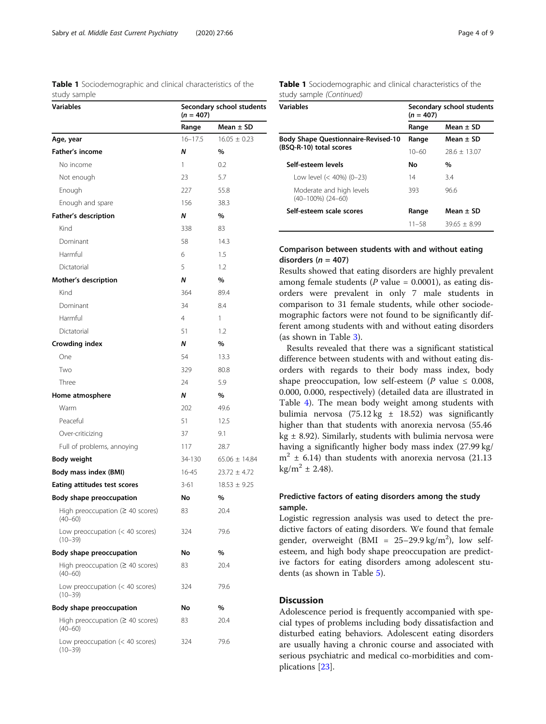<span id="page-3-0"></span>Table 1 Sociodemographic and clinical characteristics of the study sample

| <b>Variables</b>                                      | Secondary school students<br>$(n = 407)$ |                   |  |  |  |
|-------------------------------------------------------|------------------------------------------|-------------------|--|--|--|
|                                                       | Range                                    | Mean $\pm$ SD     |  |  |  |
| Age, year                                             | $16 - 17.5$                              | $16.05 \pm 0.23$  |  |  |  |
| <b>Father's income</b>                                | Ν                                        | %                 |  |  |  |
| No income                                             | 1                                        | 0.2               |  |  |  |
| Not enough                                            | 23                                       | 5.7               |  |  |  |
| Enough                                                | 227                                      | 55.8              |  |  |  |
| Enough and spare                                      | 156                                      | 38.3              |  |  |  |
| Father's description                                  | Ν                                        | %                 |  |  |  |
| Kind                                                  | 338                                      | 83                |  |  |  |
| Dominant                                              | 58                                       | 14.3              |  |  |  |
| Harmful                                               | 6                                        | 1.5               |  |  |  |
| Dictatorial                                           | 5                                        | 1.2               |  |  |  |
| Mother's description                                  | N                                        | %                 |  |  |  |
| Kind                                                  | 364                                      | 89.4              |  |  |  |
| Dominant                                              | 34                                       | 8.4               |  |  |  |
| Harmful                                               | 4                                        | 1                 |  |  |  |
| Dictatorial                                           | 51                                       | 1.2               |  |  |  |
| Crowding index                                        | Ν                                        | %                 |  |  |  |
| One                                                   | 54                                       | 13.3              |  |  |  |
| Two                                                   | 329                                      | 80.8              |  |  |  |
| Three                                                 | 24                                       | 5.9               |  |  |  |
| Home atmosphere                                       | N                                        | %                 |  |  |  |
| Warm                                                  | 202                                      | 49.6              |  |  |  |
| Peaceful                                              | 51                                       | 12.5              |  |  |  |
| Over-criticizing                                      | 37                                       | 9.1               |  |  |  |
| Full of problems, annoying                            | 117                                      | 28.7              |  |  |  |
| <b>Body weight</b>                                    | 34-130                                   | $65.06 \pm 14.84$ |  |  |  |
| Body mass index (BMI)                                 | 16-45                                    | $23.72 \pm 4.72$  |  |  |  |
| Eating attitudes test scores                          | $3 - 61$                                 | $18.53 \pm 9.25$  |  |  |  |
| Body shape preoccupation                              | No                                       | %                 |  |  |  |
| High preoccupation ( $\geq 40$ scores)<br>$(40 - 60)$ | 83                                       | 20.4              |  |  |  |
| Low preoccupation (< 40 scores)<br>$(10 - 39)$        | 324                                      | 79.6              |  |  |  |
| Body shape preoccupation                              | No                                       | %                 |  |  |  |
| High preoccupation ( $\geq 40$ scores)<br>$(40 - 60)$ | 83                                       | 20.4              |  |  |  |
| Low preoccupation (< 40 scores)<br>$(10 - 39)$        | 324                                      | 79.6              |  |  |  |
| Body shape preoccupation                              | No                                       | %                 |  |  |  |
| High preoccupation ( $\geq 40$ scores)<br>$(40 - 60)$ | 83                                       | 20.4              |  |  |  |
| Low preoccupation (< 40 scores)<br>$(10 - 39)$        | 324                                      | 79.6              |  |  |  |

Table 1 Sociodemographic and clinical characteristics of the study sample (Continued)

| Variables                                          | Secondary school students<br>$(n = 407)$ |                |  |  |  |
|----------------------------------------------------|------------------------------------------|----------------|--|--|--|
|                                                    | Range                                    | Mean $\pm$ SD  |  |  |  |
| <b>Body Shape Questionnaire-Revised-10</b>         | Range                                    | Mean + SD      |  |  |  |
| (BSQ-R-10) total scores                            | 10–60                                    | $28.6 + 13.07$ |  |  |  |
| Self-esteem levels                                 | Nο                                       | %              |  |  |  |
| Low level (< 40%) (0-23)                           | 14                                       | 34             |  |  |  |
| Moderate and high levels<br>$(40-100\%)$ $(24-60)$ | 393                                      | 96.6           |  |  |  |
| Self-esteem scale scores                           | Range                                    | Mean $\pm$ SD  |  |  |  |
|                                                    | $11 - 58$                                | $39.65 + 8.99$ |  |  |  |

# Comparison between students with and without eating disorders ( $n = 407$ )

Results showed that eating disorders are highly prevalent among female students ( $P$  value = 0.0001), as eating disorders were prevalent in only 7 male students in comparison to 31 female students, while other sociodemographic factors were not found to be significantly different among students with and without eating disorders (as shown in Table [3](#page-5-0)).

Results revealed that there was a significant statistical difference between students with and without eating disorders with regards to their body mass index, body shape preoccupation, low self-esteem (P value  $\leq$  0.008, 0.000, 0.000, respectively) (detailed data are illustrated in Table [4](#page-6-0)). The mean body weight among students with bulimia nervosa (75.12 kg  $\pm$  18.52) was significantly higher than that students with anorexia nervosa (55.46 kg  $\pm$  8.92). Similarly, students with bulimia nervosa were having a significantly higher body mass index (27.99 kg/  $m<sup>2</sup> \pm 6.14$ ) than students with anorexia nervosa (21.13  $kg/m^2 \pm 2.48$ ).

# Predictive factors of eating disorders among the study sample.

Logistic regression analysis was used to detect the predictive factors of eating disorders. We found that female gender, overweight (BMI =  $25-29.9 \text{ kg/m}^2$ ), low selfesteem, and high body shape preoccupation are predictive factors for eating disorders among adolescent students (as shown in Table [5](#page-6-0)).

#### **Discussion**

Adolescence period is frequently accompanied with special types of problems including body dissatisfaction and disturbed eating behaviors. Adolescent eating disorders are usually having a chronic course and associated with serious psychiatric and medical co-morbidities and complications [\[23\]](#page-7-0).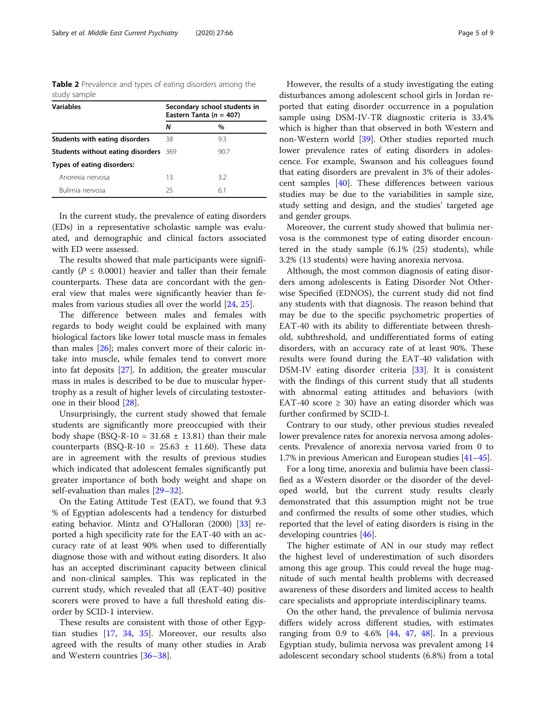<span id="page-4-0"></span>Table 2 Prevalence and types of eating disorders among the study sample

| <b>Variables</b>                             | Secondary school students in<br>Eastern Tanta ( $n = 407$ ) |      |  |  |  |
|----------------------------------------------|-------------------------------------------------------------|------|--|--|--|
|                                              | N                                                           | %    |  |  |  |
| Students with eating disorders               | 38                                                          | 9.3  |  |  |  |
| <b>Students without eating disorders</b> 369 |                                                             | 90.7 |  |  |  |
| Types of eating disorders:                   |                                                             |      |  |  |  |
| Anorexia nervosa                             | 13                                                          | 3.2  |  |  |  |
| Bulimia nervosa                              | 25                                                          | 6.1  |  |  |  |

In the current study, the prevalence of eating disorders (EDs) in a representative scholastic sample was evaluated, and demographic and clinical factors associated with ED were assessed.

The results showed that male participants were significantly ( $P \leq 0.0001$ ) heavier and taller than their female counterparts. These data are concordant with the general view that males were significantly heavier than females from various studies all over the world [[24](#page-7-0), [25](#page-7-0)].

The difference between males and females with regards to body weight could be explained with many biological factors like lower total muscle mass in females than males [[26\]](#page-7-0); males convert more of their caloric intake into muscle, while females tend to convert more into fat deposits [[27\]](#page-7-0). In addition, the greater muscular mass in males is described to be due to muscular hypertrophy as a result of higher levels of circulating testosterone in their blood [[28\]](#page-7-0).

Unsurprisingly, the current study showed that female students are significantly more preoccupied with their body shape (BSQ-R-10 =  $31.68 \pm 13.81$ ) than their male counterparts (BSQ-R-10 =  $25.63 \pm 11.60$ ). These data are in agreement with the results of previous studies which indicated that adolescent females significantly put greater importance of both body weight and shape on self-evaluation than males [\[29](#page-7-0)–[32\]](#page-8-0).

On the Eating Attitude Test (EAT), we found that 9.3 % of Egyptian adolescents had a tendency for disturbed eating behavior. Mintz and O'Halloran (2000) [\[33\]](#page-8-0) reported a high specificity rate for the EAT-40 with an accuracy rate of at least 90% when used to differentially diagnose those with and without eating disorders. It also has an accepted discriminant capacity between clinical and non-clinical samples. This was replicated in the current study, which revealed that all (EAT-40) positive scorers were proved to have a full threshold eating disorder by SCID-1 interview.

These results are consistent with those of other Egyptian studies [[17,](#page-7-0) [34,](#page-8-0) [35\]](#page-8-0). Moreover, our results also agreed with the results of many other studies in Arab and Western countries [\[36](#page-8-0)–[38\]](#page-8-0).

However, the results of a study investigating the eating disturbances among adolescent school girls in Jordan reported that eating disorder occurrence in a population sample using DSM-IV-TR diagnostic criteria is 33.4% which is higher than that observed in both Western and non-Western world [[39\]](#page-8-0). Other studies reported much lower prevalence rates of eating disorders in adolescence. For example, Swanson and his colleagues found that eating disorders are prevalent in 3% of their adolescent samples [\[40\]](#page-8-0). These differences between various studies may be due to the variabilities in sample size, study setting and design, and the studies' targeted age and gender groups.

Moreover, the current study showed that bulimia nervosa is the commonest type of eating disorder encountered in the study sample (6.1% (25) students), while 3.2% (13 students) were having anorexia nervosa.

Although, the most common diagnosis of eating disorders among adolescents is Eating Disorder Not Otherwise Specified (EDNOS), the current study did not find any students with that diagnosis. The reason behind that may be due to the specific psychometric properties of EAT-40 with its ability to differentiate between threshold, subthreshold, and undifferentiated forms of eating disorders, with an accuracy rate of at least 90%. These results were found during the EAT-40 validation with DSM-IV eating disorder criteria [\[33](#page-8-0)]. It is consistent with the findings of this current study that all students with abnormal eating attitudes and behaviors (with EAT-40 score  $\geq$  30) have an eating disorder which was further confirmed by SCID-I.

Contrary to our study, other previous studies revealed lower prevalence rates for anorexia nervosa among adolescents. Prevalence of anorexia nervosa varied from 0 to 1.7% in previous American and European studies [\[41](#page-8-0)–[45](#page-8-0)].

For a long time, anorexia and bulimia have been classified as a Western disorder or the disorder of the developed world, but the current study results clearly demonstrated that this assumption might not be true and confirmed the results of some other studies, which reported that the level of eating disorders is rising in the developing countries [[46\]](#page-8-0).

The higher estimate of AN in our study may reflect the highest level of underestimation of such disorders among this age group. This could reveal the huge magnitude of such mental health problems with decreased awareness of these disorders and limited access to health care specialists and appropriate interdisciplinary teams.

On the other hand, the prevalence of bulimia nervosa differs widely across different studies, with estimates ranging from 0.9 to  $4.6\%$  [[44,](#page-8-0) [47,](#page-8-0) [48](#page-8-0)]. In a previous Egyptian study, bulimia nervosa was prevalent among 14 adolescent secondary school students (6.8%) from a total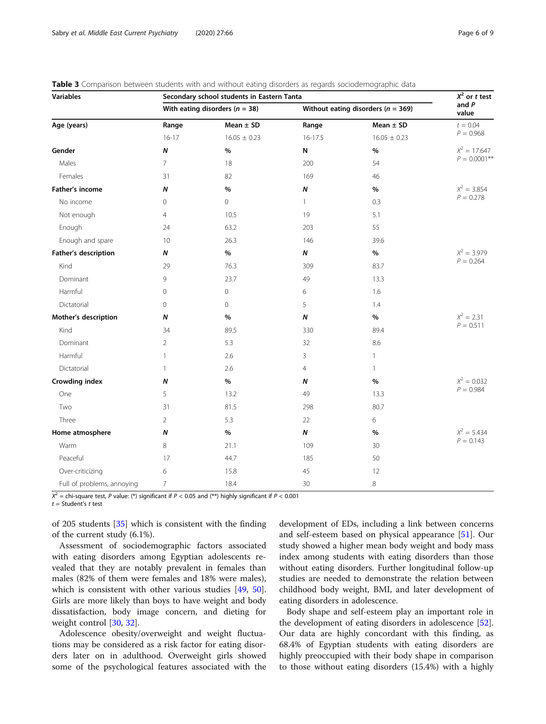<span id="page-5-0"></span>

| <b>Table 3</b> Comparison between students with and without eating disorders as regards sociodemographic data |  |  |  |  |  |  |
|---------------------------------------------------------------------------------------------------------------|--|--|--|--|--|--|
|                                                                                                               |  |  |  |  |  |  |

| Variables                  | Secondary school students in Eastern Tanta | $X^2$ or t test                    |                                        |                  |                 |
|----------------------------|--------------------------------------------|------------------------------------|----------------------------------------|------------------|-----------------|
|                            |                                            | With eating disorders ( $n = 38$ ) | Without eating disorders ( $n = 369$ ) | and $P$<br>value |                 |
| Age (years)                | Range                                      | Mean $\pm$ SD                      | Range                                  | Mean $\pm$ SD    | $t = 0.04$      |
|                            | $16 - 17$                                  | $16.05 \pm 0.23$                   | 16-17.5                                | $16.05 \pm 0.23$ | $P = 0.968$     |
| Gender                     | $\boldsymbol{N}$                           | %                                  | N                                      | %                | $X^2 = 17.647$  |
| Males                      | $\overline{7}$                             | 18                                 | 200                                    | 54               | $P = 0.0001$ ** |
| Females                    | 31                                         | 82                                 | 169                                    | 46               |                 |
| Father's income            | N                                          | %                                  | Ν                                      | %                | $X^2 = 3.854$   |
| No income                  | 0                                          | 0                                  | 1                                      | 0.3              | $P = 0.278$     |
| Not enough                 | $\overline{4}$                             | 10.5                               | 19                                     | 5.1              |                 |
| Enough                     | 24                                         | 63.2                               | 203                                    | 55               |                 |
| Enough and spare           | 10                                         | 26.3                               | 146                                    | 39.6             |                 |
| Father's description       | N                                          | $\%$                               | Ν                                      | $\%$             | $X^2 = 3.979$   |
| Kind                       | 29                                         | 76.3                               | 309                                    | 83.7             | $P = 0.264$     |
| Dominant                   | 9                                          | 23.7                               | 49                                     | 13.3             |                 |
| Harmful                    | 0                                          | 0                                  | 6                                      | 1.6              |                 |
| Dictatorial                | $\circ$                                    | 0                                  | 5                                      | 1.4              |                 |
| Mother's description       | N                                          | $\%$                               | N                                      | $\%$             | $X^2 = 2.31$    |
| Kind                       | 34                                         | 89.5                               | 330                                    | 89.4             | $P = 0.511$     |
| Dominant                   | $\overline{2}$                             | 5.3                                | 32                                     | 8.6              |                 |
| Harmful                    | $\mathbf{1}$                               | 2.6                                | 3                                      | 1                |                 |
| Dictatorial                | $\mathbf{1}$                               | 2.6                                | 4                                      | $\mathbf{1}$     |                 |
| Crowding index             | Ν                                          | $\%$                               | Ν                                      | %                | $X^2 = 0.032$   |
| One                        | 5                                          | 13.2                               | 49                                     | 13.3             | $P = 0.984$     |
| Two                        | 31                                         | 81.5                               | 298                                    | 80.7             |                 |
| Three                      | 2                                          | 5.3                                | 22                                     | 6                |                 |
| Home atmosphere            | N                                          | $\%$                               | N                                      | %                | $X^2 = 5.434$   |
| Warm                       | 8                                          | 21.1                               | 109                                    | 30               | $P = 0.143$     |
| Peaceful                   | 17                                         | 44.7                               | 185                                    | 50               |                 |
| Over-criticizing           | 6                                          | 15.8                               | 45                                     | 12               |                 |
| Full of problems, annoying | $\overline{7}$                             | 18.4                               | 30                                     | 8                |                 |

 $X^2$  = chi-square test, P value: (\*) significant if P < 0.05 and (\*\*) highly significant if P < 0.001

 $t =$  Student's t test

of 205 students [[35](#page-8-0)] which is consistent with the finding of the current study (6.1%).

Assessment of sociodemographic factors associated with eating disorders among Egyptian adolescents revealed that they are notably prevalent in females than males (82% of them were females and 18% were males), which is consistent with other various studies [\[49,](#page-8-0) [50](#page-8-0)]. Girls are more likely than boys to have weight and body dissatisfaction, body image concern, and dieting for weight control [\[30,](#page-7-0) [32\]](#page-8-0).

Adolescence obesity/overweight and weight fluctuations may be considered as a risk factor for eating disorders later on in adulthood. Overweight girls showed some of the psychological features associated with the

development of EDs, including a link between concerns and self-esteem based on physical appearance [[51\]](#page-8-0). Our study showed a higher mean body weight and body mass index among students with eating disorders than those without eating disorders. Further longitudinal follow-up studies are needed to demonstrate the relation between childhood body weight, BMI, and later development of eating disorders in adolescence.

Body shape and self-esteem play an important role in the development of eating disorders in adolescence [\[52](#page-8-0)]. Our data are highly concordant with this finding, as 68.4% of Egyptian students with eating disorders are highly preoccupied with their body shape in comparison to those without eating disorders (15.4%) with a highly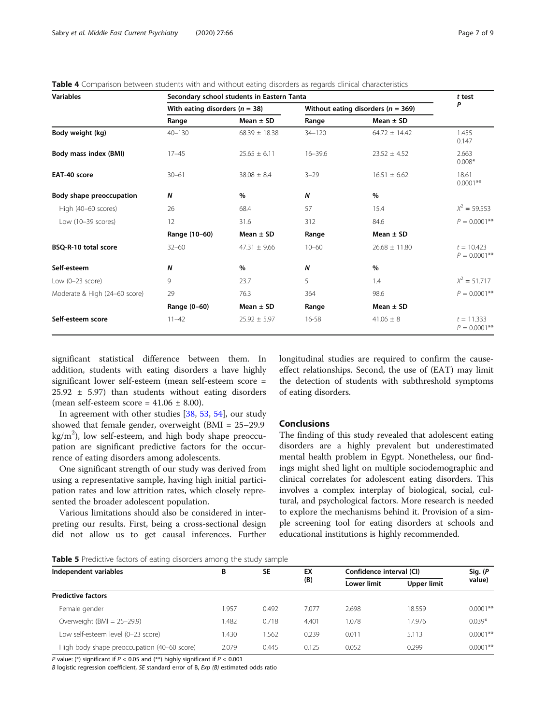<span id="page-6-0"></span>Table 4 Comparison between students with and without eating disorders as regards clinical characteristics

| <b>Variables</b>              | Secondary school students in Eastern Tanta | t test            |                                        |                   |                                 |  |
|-------------------------------|--------------------------------------------|-------------------|----------------------------------------|-------------------|---------------------------------|--|
|                               | With eating disorders ( $n = 38$ )         |                   | Without eating disorders ( $n = 369$ ) | P                 |                                 |  |
|                               | Range                                      | Mean $\pm$ SD     | Range                                  | Mean $\pm$ SD     |                                 |  |
| Body weight (kg)              | $40 - 130$                                 | $68.39 \pm 18.38$ | $34 - 120$                             | $64.72 \pm 14.42$ | 1.455<br>0.147                  |  |
| Body mass index (BMI)         | $17 - 45$                                  | $25.65 \pm 6.11$  | $16 - 39.6$                            | $23.52 \pm 4.52$  | 2.663<br>$0.008*$               |  |
| EAT-40 score                  | $30 - 61$                                  | $38.08 \pm 8.4$   | $3 - 29$                               | $16.51 \pm 6.62$  | 18.61<br>$0.0001**$             |  |
| Body shape preoccupation      | N                                          | $\%$              | N                                      | %                 |                                 |  |
| High (40-60 scores)           | 26                                         | 68.4              | 57                                     | 15.4              | $X^2 = 59.553$                  |  |
| Low (10-39 scores)            | 12                                         | 31.6              | 312                                    | 84.6              | $P = 0.0001$ **                 |  |
|                               | Range (10-60)                              | Mean $\pm$ SD     | Range                                  | Mean $\pm$ SD     |                                 |  |
| BSO-R-10 total score          | $32 - 60$                                  | $47.31 \pm 9.66$  | $10 - 60$                              | $26.68 \pm 11.80$ | $t = 10.423$<br>$P = 0.0001$ ** |  |
| Self-esteem                   | N                                          | $\%$              | $\boldsymbol{N}$                       | $\%$              |                                 |  |
| Low $(0-23$ score)            | 9                                          | 23.7              | 5                                      | 1.4               | $X^2 = 51.717$                  |  |
| Moderate & High (24-60 score) | 29                                         | 76.3              | 364                                    | 98.6              | $P = 0.0001$ **                 |  |
|                               | Range (0-60)                               | Mean $\pm$ SD     | Range                                  | Mean $\pm$ SD     |                                 |  |
| Self-esteem score             | $11 - 42$                                  | $25.92 \pm 5.97$  | 16-58                                  | $41.06 \pm 8$     | $t = 11.333$<br>$P = 0.0001$ ** |  |

significant statistical difference between them. In addition, students with eating disorders a have highly significant lower self-esteem (mean self-esteem score =  $25.92 \pm 5.97$ ) than students without eating disorders (mean self-esteem score =  $41.06 \pm 8.00$ ).

In agreement with other studies [[38,](#page-8-0) [53,](#page-8-0) [54\]](#page-8-0), our study showed that female gender, overweight (BMI = 25–29.9 kg/m<sup>2</sup>), low self-esteem, and high body shape preoccupation are significant predictive factors for the occurrence of eating disorders among adolescents.

One significant strength of our study was derived from using a representative sample, having high initial participation rates and low attrition rates, which closely represented the broader adolescent population.

Various limitations should also be considered in interpreting our results. First, being a cross-sectional design did not allow us to get causal inferences. Further longitudinal studies are required to confirm the causeeffect relationships. Second, the use of (EAT) may limit the detection of students with subthreshold symptoms of eating disorders.

#### Conclusions

The finding of this study revealed that adolescent eating disorders are a highly prevalent but underestimated mental health problem in Egypt. Nonetheless, our findings might shed light on multiple sociodemographic and clinical correlates for adolescent eating disorders. This involves a complex interplay of biological, social, cultural, and psychological factors. More research is needed to explore the mechanisms behind it. Provision of a simple screening tool for eating disorders at schools and educational institutions is highly recommended.

Table 5 Predictive factors of eating disorders among the study sample

| Independent variables                       | В     | <b>SE</b> | EX    | Confidence interval (CI) |             | Sig. (P    |
|---------------------------------------------|-------|-----------|-------|--------------------------|-------------|------------|
|                                             |       |           | (B)   | <b>Lower limit</b>       | Upper limit | value)     |
| <b>Predictive factors</b>                   |       |           |       |                          |             |            |
| Female gender                               | 1.957 | 0.492     | 7.077 | 2.698                    | 18.559      | $0.0001**$ |
| Overweight (BMI = $25-29.9$ )               | 1.482 | 0.718     | 4.401 | 1.078                    | 17.976      | $0.039*$   |
| Low self-esteem level (0-23 score)          | 1.430 | .562      | 0.239 | 0.011                    | 5.113       | $0.0001**$ |
| High body shape preoccupation (40–60 score) | 2.079 | 0.445     | 0.125 | 0.052                    | 0.299       | $0.0001**$ |

P value: (\*) significant if  $P < 0.05$  and (\*\*) highly significant if  $P < 0.001$ 

B logistic regression coefficient, SE standard error of B, Exp (B) estimated odds ratio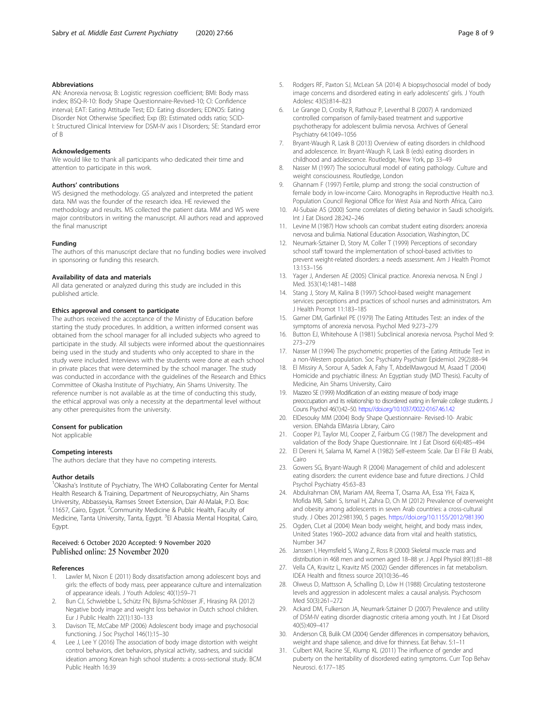#### <span id="page-7-0"></span>Abbreviations

AN: Anorexia nervosa; B: Logistic regression coefficient; BMI: Body mass index; BSQ-R-10: Body Shape Questionnaire-Revised-10; CI: Confidence interval; EAT: Eating Attitude Test; ED: Eating disorders; EDNOS: Eating Disorder Not Otherwise Specified; Exp (B): Estimated odds ratio; SCID-I: Structured Clinical Interview for DSM-IV axis I Disorders; SE: Standard error of B

#### Acknowledgements

We would like to thank all participants who dedicated their time and attention to participate in this work.

#### Authors' contributions

WS designed the methodology. GS analyzed and interpreted the patient data. NM was the founder of the research idea. HE reviewed the methodology and results. MS collected the patient data. MM and WS were major contributors in writing the manuscript. All authors read and approved the final manuscript

#### Funding

The authors of this manuscript declare that no funding bodies were involved in sponsoring or funding this research.

#### Availability of data and materials

All data generated or analyzed during this study are included in this published article.

#### Ethics approval and consent to participate

The authors received the acceptance of the Ministry of Education before starting the study procedures. In addition, a written informed consent was obtained from the school manager for all included subjects who agreed to participate in the study. All subjects were informed about the questionnaires being used in the study and students who only accepted to share in the study were included. Interviews with the students were done at each school in private places that were determined by the school manager. The study was conducted in accordance with the guidelines of the Research and Ethics Committee of Okasha Institute of Psychiatry, Ain Shams University. The reference number is not available as at the time of conducting this study, the ethical approval was only a necessity at the departmental level without any other prerequisites from the university.

#### Consent for publication

Not applicable

#### Competing interests

The authors declare that they have no competing interests.

#### Author details

<sup>1</sup>Okasha's Institute of Psychiatry, The WHO Collaborating Center for Mental Health Research & Training, Department of Neuropsychiatry, Ain Shams University, Abbasseyia, Ramses Street Extension, Dair Al-Malak, P.O. Box: 11657, Cairo, Egypt. <sup>2</sup> Community Medicine & Public Health, Faculty of Medicine, Tanta University, Tanta, Egypt. <sup>3</sup>El Abassia Mental Hospital, Cairo, Egypt.

#### Received: 6 October 2020 Accepted: 9 November 2020 Published online: 25 November 2020

#### References

- Lawler M, Nixon E (2011) Body dissatisfaction among adolescent boys and girls: the effects of body mass, peer appearance culture and internalization of appearance ideals. J Youth Adolesc 40(1):59–71
- 2. Bun CJ, Schwiebbe L, Schütz FN, Bijlsma-Schlösser JF, Hirasing RA (2012) Negative body image and weight loss behavior in Dutch school children. Eur J Public Health 22(1):130–133
- Davison TE, McCabe MP (2006) Adolescent body image and psychosocial functioning. J Soc Psychol 146(1):15–30
- Lee J, Lee Y (2016) The association of body image distortion with weight control behaviors, diet behaviors, physical activity, sadness, and suicidal ideation among Korean high school students: a cross-sectional study. BCM Public Health 16:39
- 5. Rodgers RF, Paxton SJ, McLean SA (2014) A biopsychosocial model of body image concerns and disordered eating in early adolescents' girls. J Youth Adolesc 43(5):814–823
- 6. Le Grange D, Crosby R, Rathouz P, Leventhal B (2007) A randomized controlled comparison of family-based treatment and supportive psychotherapy for adolescent bulimia nervosa. Archives of General Psychiatry 64:1049–1056
- 7. Bryant-Waugh R, Lask B (2013) Overview of eating disorders in childhood and adolescence. In: Bryant-Waugh R, Lask B (eds) eating disorders in childhood and adolescence. Routledge, New York, pp 33–49
- 8. Nasser M (1997) The sociocultural model of eating pathology. Culture and weight consciousness. Routledge, London
- 9. Ghannam F (1997) Fertile, plump and strong: the social construction of female body in low-income Cairo. Monographs in Reproductive Health no.3. Population Council Regional Office for West Asia and North Africa, Cairo
- 10. Al-Subaie AS (2000) Some correlates of dieting behavior in Saudi schoolgirls. Int J Eat Disord 28:242–246
- 11. Levine M (1987) How schools can combat student eating disorders: anorexia nervosa and bulimia. National Education Association, Washington, DC
- 12. Neumark-Sztainer D, Story M, Coller T (1999) Perceptions of secondary school staff toward the implementation of school-based activities to prevent weight-related disorders: a needs assessment. Am J Health Promot 13:153–156
- 13. Yager J, Andersen AE (2005) Clinical practice. Anorexia nervosa. N Engl J Med. 353(14):1481–1488
- 14. Stang J, Story M, Kalina B (1997) School-based weight management services: perceptions and practices of school nurses and administrators. Am J Health Promot 11:183–185
- 15. Garner DM, Garfinkel PE (1979) The Eating Attitudes Test: an index of the symptoms of anorexia nervosa. Psychol Med 9:273–279
- 16. Button EJ, Whitehouse A (1981) Subclinical anorexia nervosa. Psychol Med 9: 273–279
- 17. Nasser M (1994) The psychometric properties of the Eating Attitude Test in a non-Western population. Soc Psychiatry Psychiatr Epidemiol. 29(2):88–94
- 18. El Missiry A, Sorour A, Sadek A, Fahy T, AbdelMawgoud M, Asaad T (2004) Homicide and psychiatric illness: An Egyptian study (MD Thesis). Faculty of Medicine, Ain Shams University, Cairo
- 19. Mazzeo SE (1999) Modification of an existing measure of body image preoccupation and its relationship to disordered eating in female college students. J Couns Psychol 46(1):42–50. <https://doi.org/10.1037/0022-0167.46.1.42>
- 20. ElDesouky MM (2004) Body Shape Questionnaire- Revised-10- Arabic version. ElNahda ElMasria Library, Cairo
- 21. Cooper PJ, Taylor MJ, Cooper Z, Fairbum CG (1987) The development and validation of the Body Shape Questionnaire. Int J Eat Disord 6(4):485–494
- 22. El Dereni H, Salama M, Kamel A (1982) Self-esteem Scale. Dar El Fikr El Arabi, Cairo
- 23. Gowers SG, Bryant-Waugh R (2004) Management of child and adolescent eating disorders: the current evidence base and future directions. J Child Psychol Psychiatry 45:63–83
- 24. Abdulrahman OM, Mariam AM, Reema T, Osama AA, Essa YH, Faiza K, Mofida MB, Sabri S, Ismail H, Zahra D, Ch M (2012) Prevalence of overweight and obesity among adolescents in seven Arab countries: a cross-cultural study. J Obes 2012:981390, 5 pages. <https://doi.org/10.1155/2012/981390>
- 25. Ogden, CLet al (2004) Mean body weight, height, and body mass index, United States 1960–2002 advance data from vital and health statistics, Number 347
- 26. Janssen I, Heymsfield S, Wang Z, Ross R (2000) Skeletal muscle mass and distribution in 468 men and women aged 18–88 yr. J Appl Physiol 89(1):81–88
- 27. Vella CA, Kravitz L, Kravitz MS (2002) Gender differences in fat metabolism. IDEA Health and fitness source 20(10):36–46
- 28. Olweus D, Mattsson A, Schalling D, Löw H (1988) Circulating testosterone levels and aggression in adolescent males: a causal analysis. Psychosom Med 50(3):261–272
- 29. Ackard DM, Fulkerson JA, Neumark-Sztainer D (2007) Prevalence and utility of DSM-IV eating disorder diagnostic criteria among youth. Int J Eat Disord 40(5):409–417
- 30. Anderson CB, Bulik CM (2004) Gender differences in compensatory behaviors, weight and shape salience, and drive for thinness. Eat Behav. 5:1–11
- 31. Culbert KM, Racine SE, Klump KL (2011) The influence of gender and puberty on the heritability of disordered eating symptoms. Curr Top Behav Neurosci. 6:177–185